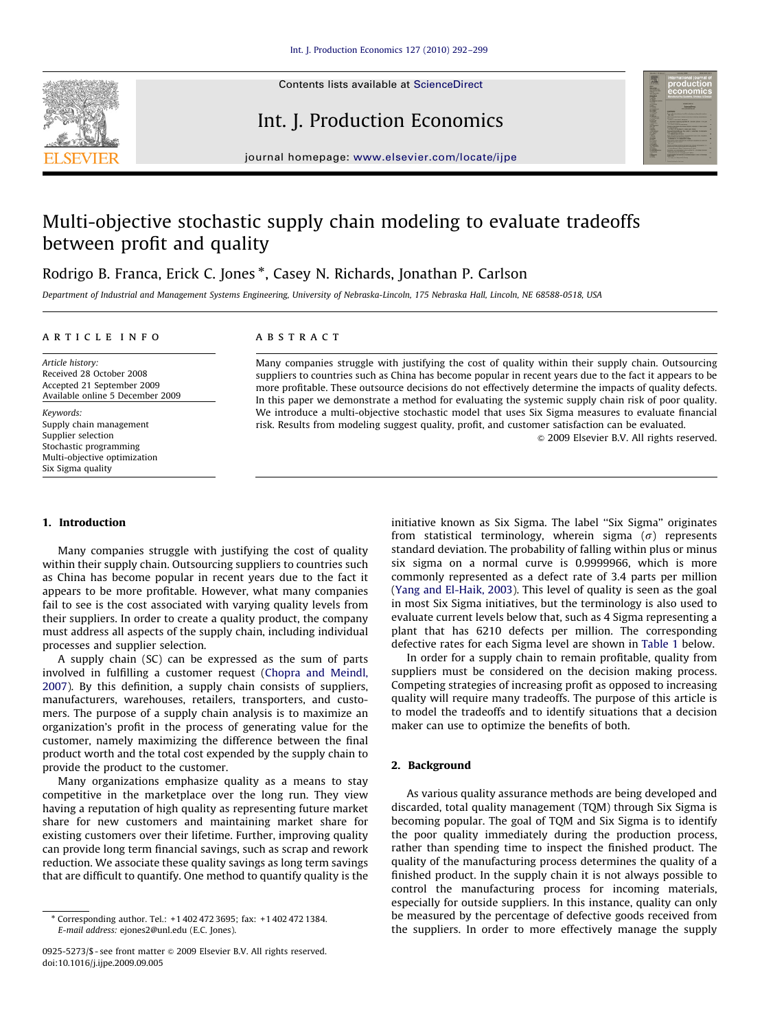

Contents lists available at ScienceDirect

# Int. J. Production Economics



journal homepage: <www.elsevier.com/locate/ijpe>

# Multi-objective stochastic supply chain modeling to evaluate tradeoffs between profit and quality

# Rodrigo B. Franca, Erick C. Jones \*, Casey N. Richards, Jonathan P. Carlson

Department of Industrial and Management Systems Engineering, University of Nebraska-Lincoln, 175 Nebraska Hall, Lincoln, NE 68588-0518, USA

## article info

# **ABSTRACT**

Article history: Received 28 October 2008 Accepted 21 September 2009 Available online 5 December 2009

Keywords: Supply chain management Supplier selection Stochastic programming Multi-objective optimization Six Sigma quality

Many companies struggle with justifying the cost of quality within their supply chain. Outsourcing suppliers to countries such as China has become popular in recent years due to the fact it appears to be more profitable. These outsource decisions do not effectively determine the impacts of quality defects. In this paper we demonstrate a method for evaluating the systemic supply chain risk of poor quality. We introduce a multi-objective stochastic model that uses Six Sigma measures to evaluate financial risk. Results from modeling suggest quality, profit, and customer satisfaction can be evaluated.

 $\odot$  2009 Elsevier B.V. All rights reserved.

## 1. Introduction

Many companies struggle with justifying the cost of quality within their supply chain. Outsourcing suppliers to countries such as China has become popular in recent years due to the fact it appears to be more profitable. However, what many companies fail to see is the cost associated with varying quality levels from their suppliers. In order to create a quality product, the company must address all aspects of the supply chain, including individual processes and supplier selection.

A supply chain (SC) can be expressed as the sum of parts involved in fulfilling a customer request [\(Chopra and Meindl,](#page--1-0) [2007\)](#page--1-0). By this definition, a supply chain consists of suppliers, manufacturers, warehouses, retailers, transporters, and customers. The purpose of a supply chain analysis is to maximize an organization's profit in the process of generating value for the customer, namely maximizing the difference between the final product worth and the total cost expended by the supply chain to provide the product to the customer.

Many organizations emphasize quality as a means to stay competitive in the marketplace over the long run. They view having a reputation of high quality as representing future market share for new customers and maintaining market share for existing customers over their lifetime. Further, improving quality can provide long term financial savings, such as scrap and rework reduction. We associate these quality savings as long term savings that are difficult to quantify. One method to quantify quality is the initiative known as Six Sigma. The label ''Six Sigma'' originates from statistical terminology, wherein sigma  $(\sigma)$  represents standard deviation. The probability of falling within plus or minus six sigma on a normal curve is 0.9999966, which is more commonly represented as a defect rate of 3.4 parts per million ([Yang and El-Haik, 2003](#page--1-0)). This level of quality is seen as the goal in most Six Sigma initiatives, but the terminology is also used to evaluate current levels below that, such as 4 Sigma representing a plant that has 6210 defects per million. The corresponding defective rates for each Sigma level are shown in [Table 1](#page-1-0) below.

In order for a supply chain to remain profitable, quality from suppliers must be considered on the decision making process. Competing strategies of increasing profit as opposed to increasing quality will require many tradeoffs. The purpose of this article is to model the tradeoffs and to identify situations that a decision maker can use to optimize the benefits of both.

## 2. Background

As various quality assurance methods are being developed and discarded, total quality management (TQM) through Six Sigma is becoming popular. The goal of TQM and Six Sigma is to identify the poor quality immediately during the production process, rather than spending time to inspect the finished product. The quality of the manufacturing process determines the quality of a finished product. In the supply chain it is not always possible to control the manufacturing process for incoming materials, especially for outside suppliers. In this instance, quality can only be measured by the percentage of defective goods received from the suppliers. In order to more effectively manage the supply

<sup>-</sup> Corresponding author. Tel.: +1 402 472 3695; fax: +1 402 472 1384. E-mail address: [ejones2@unl.edu \(E.C. Jones\).](mailto:ejones2@unl.edu)

<sup>0925-5273/\$ -</sup> see front matter @ 2009 Elsevier B.V. All rights reserved. doi:[10.1016/j.ijpe.2009.09.005](dx.doi.org/10.1016/j.ijpe.2009.09.005)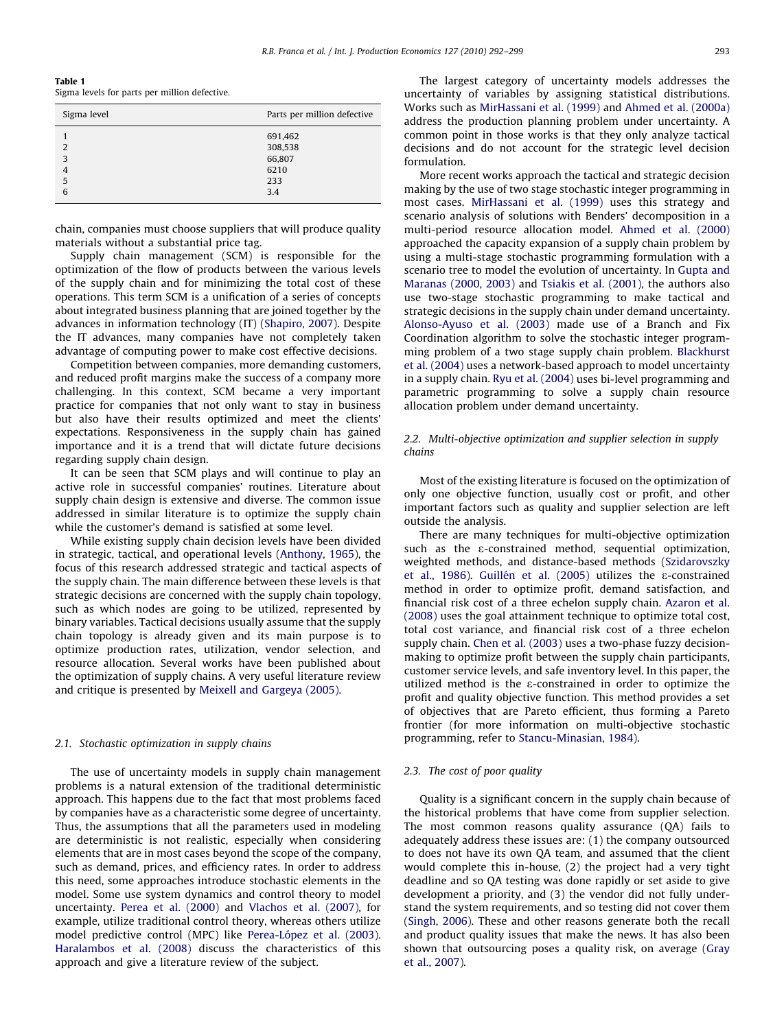<span id="page-1-0"></span>

| Table 1 |  |  |                                               |  |
|---------|--|--|-----------------------------------------------|--|
|         |  |  | Sigma levels for parts per million defective. |  |

| Sigma level | Parts per million defective |
|-------------|-----------------------------|
|             | 691,462                     |
| 2<br>3      | 308,538<br>66,807           |
| 4           | 6210                        |
| 5<br>6      | 233<br>3.4                  |
|             |                             |

chain, companies must choose suppliers that will produce quality materials without a substantial price tag.

Supply chain management (SCM) is responsible for the optimization of the flow of products between the various levels of the supply chain and for minimizing the total cost of these operations. This term SCM is a unification of a series of concepts about integrated business planning that are joined together by the advances in information technology (IT) ([Shapiro, 2007\)](#page--1-0). Despite the IT advances, many companies have not completely taken advantage of computing power to make cost effective decisions.

Competition between companies, more demanding customers, and reduced profit margins make the success of a company more challenging. In this context, SCM became a very important practice for companies that not only want to stay in business but also have their results optimized and meet the clients' expectations. Responsiveness in the supply chain has gained importance and it is a trend that will dictate future decisions regarding supply chain design.

It can be seen that SCM plays and will continue to play an active role in successful companies' routines. Literature about supply chain design is extensive and diverse. The common issue addressed in similar literature is to optimize the supply chain while the customer's demand is satisfied at some level.

While existing supply chain decision levels have been divided in strategic, tactical, and operational levels ([Anthony, 1965](#page--1-0)), the focus of this research addressed strategic and tactical aspects of the supply chain. The main difference between these levels is that strategic decisions are concerned with the supply chain topology, such as which nodes are going to be utilized, represented by binary variables. Tactical decisions usually assume that the supply chain topology is already given and its main purpose is to optimize production rates, utilization, vendor selection, and resource allocation. Several works have been published about the optimization of supply chains. A very useful literature review and critique is presented by [Meixell and Gargeya \(2005\)](#page--1-0).

#### 2.1. Stochastic optimization in supply chains

The use of uncertainty models in supply chain management problems is a natural extension of the traditional deterministic approach. This happens due to the fact that most problems faced by companies have as a characteristic some degree of uncertainty. Thus, the assumptions that all the parameters used in modeling are deterministic is not realistic, especially when considering elements that are in most cases beyond the scope of the company, such as demand, prices, and efficiency rates. In order to address this need, some approaches introduce stochastic elements in the model. Some use system dynamics and control theory to model uncertainty. [Perea et al. \(2000\)](#page--1-0) and [Vlachos et al. \(2007\)](#page--1-0), for example, utilize traditional control theory, whereas others utilize model predictive control (MPC) like Perea-López et al. (2003). [Haralambos et al. \(2008\)](#page--1-0) discuss the characteristics of this approach and give a literature review of the subject.

The largest category of uncertainty models addresses the uncertainty of variables by assigning statistical distributions. Works such as [MirHassani et al. \(1999\)](#page--1-0) and [Ahmed et al. \(2000a\)](#page--1-0) address the production planning problem under uncertainty. A common point in those works is that they only analyze tactical decisions and do not account for the strategic level decision formulation.

More recent works approach the tactical and strategic decision making by the use of two stage stochastic integer programming in most cases. [MirHassani et al. \(1999\)](#page--1-0) uses this strategy and scenario analysis of solutions with Benders' decomposition in a multi-period resource allocation model. [Ahmed et al. \(2000\)](#page--1-0) approached the capacity expansion of a supply chain problem by using a multi-stage stochastic programming formulation with a scenario tree to model the evolution of uncertainty. In [Gupta and](#page--1-0) [Maranas \(2000, 2003\)](#page--1-0) and [Tsiakis et al. \(2001\)](#page--1-0), the authors also use two-stage stochastic programming to make tactical and strategic decisions in the supply chain under demand uncertainty. [Alonso-Ayuso et al. \(2003\)](#page--1-0) made use of a Branch and Fix Coordination algorithm to solve the stochastic integer programming problem of a two stage supply chain problem. [Blackhurst](#page--1-0) [et al. \(2004\)](#page--1-0) uses a network-based approach to model uncertainty in a supply chain. [Ryu et al. \(2004\)](#page--1-0) uses bi-level programming and parametric programming to solve a supply chain resource allocation problem under demand uncertainty.

## 2.2. Multi-objective optimization and supplier selection in supply chains

Most of the existing literature is focused on the optimization of only one objective function, usually cost or profit, and other important factors such as quality and supplier selection are left outside the analysis.

There are many techniques for multi-objective optimization such as the e-constrained method, sequential optimization, weighted methods, and distance-based methods ([Szidarovszky](#page--1-0) [et al., 1986](#page--1-0)). Guillén et al. (2005) utilizes the ε-constrained method in order to optimize profit, demand satisfaction, and financial risk cost of a three echelon supply chain. [Azaron et al.](#page--1-0) [\(2008\)](#page--1-0) uses the goal attainment technique to optimize total cost, total cost variance, and financial risk cost of a three echelon supply chain. [Chen et al. \(2003\)](#page--1-0) uses a two-phase fuzzy decisionmaking to optimize profit between the supply chain participants, customer service levels, and safe inventory level. In this paper, the utilized method is the e-constrained in order to optimize the profit and quality objective function. This method provides a set of objectives that are Pareto efficient, thus forming a Pareto frontier (for more information on multi-objective stochastic programming, refer to [Stancu-Minasian, 1984](#page--1-0)).

## 2.3. The cost of poor quality

Quality is a significant concern in the supply chain because of the historical problems that have come from supplier selection. The most common reasons quality assurance (QA) fails to adequately address these issues are: (1) the company outsourced to does not have its own QA team, and assumed that the client would complete this in-house, (2) the project had a very tight deadline and so QA testing was done rapidly or set aside to give development a priority, and (3) the vendor did not fully understand the system requirements, and so testing did not cover them ([Singh, 2006](#page--1-0)). These and other reasons generate both the recall and product quality issues that make the news. It has also been shown that outsourcing poses a quality risk, on average [\(Gray](#page--1-0) [et al., 2007](#page--1-0)).